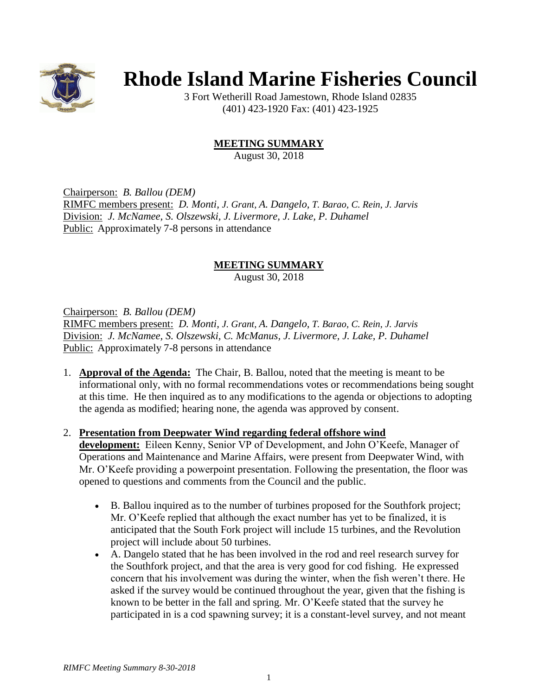

# **Rhode Island Marine Fisheries Council**

3 Fort Wetherill Road Jamestown, Rhode Island 02835 (401) 423-1920 Fax: (401) 423-1925

## **MEETING SUMMARY**

August 30, 2018

Chairperson: *B. Ballou (DEM)* RIMFC members present: *D. Monti, J. Grant, A. Dangelo, T. Barao, C. Rein, J. Jarvis* Division: *J. McNamee, S. Olszewski, J. Livermore, J. Lake, P. Duhamel* Public: Approximately 7-8 persons in attendance

### **MEETING SUMMARY**

August 30, 2018

Chairperson: *B. Ballou (DEM)*

RIMFC members present: *D. Monti, J. Grant, A. Dangelo, T. Barao, C. Rein, J. Jarvis* Division: *J. McNamee, S. Olszewski, C. McManus, J. Livermore, J. Lake, P. Duhamel* Public: Approximately 7-8 persons in attendance

1. **Approval of the Agenda:** The Chair, B. Ballou, noted that the meeting is meant to be informational only, with no formal recommendations votes or recommendations being sought at this time. He then inquired as to any modifications to the agenda or objections to adopting the agenda as modified; hearing none, the agenda was approved by consent.

#### 2. **Presentation from Deepwater Wind regarding federal offshore wind**

**development:** Eileen Kenny, Senior VP of Development, and John O'Keefe, Manager of Operations and Maintenance and Marine Affairs, were present from Deepwater Wind, with Mr. O'Keefe providing a powerpoint presentation. Following the presentation, the floor was opened to questions and comments from the Council and the public.

- B. Ballou inquired as to the number of turbines proposed for the Southfork project; Mr. O'Keefe replied that although the exact number has yet to be finalized, it is anticipated that the South Fork project will include 15 turbines, and the Revolution project will include about 50 turbines.
- A. Dangelo stated that he has been involved in the rod and reel research survey for the Southfork project, and that the area is very good for cod fishing. He expressed concern that his involvement was during the winter, when the fish weren't there. He asked if the survey would be continued throughout the year, given that the fishing is known to be better in the fall and spring. Mr. O'Keefe stated that the survey he participated in is a cod spawning survey; it is a constant-level survey, and not meant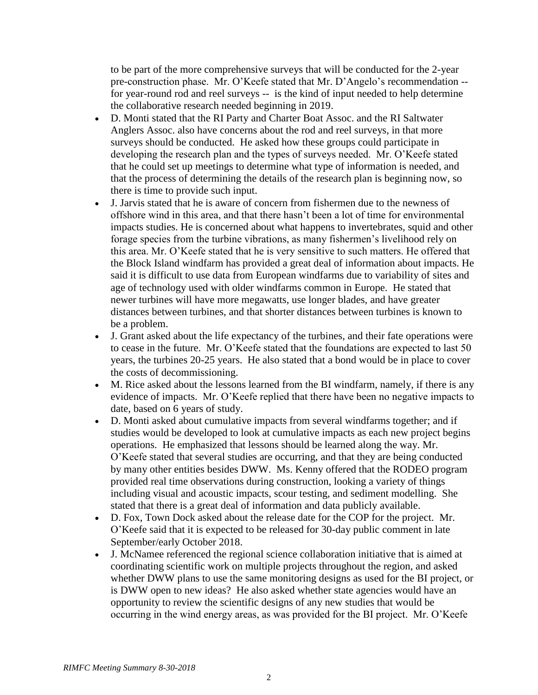to be part of the more comprehensive surveys that will be conducted for the 2-year pre-construction phase. Mr. O'Keefe stated that Mr. D'Angelo's recommendation - for year-round rod and reel surveys -- is the kind of input needed to help determine the collaborative research needed beginning in 2019.

- D. Monti stated that the RI Party and Charter Boat Assoc. and the RI Saltwater Anglers Assoc. also have concerns about the rod and reel surveys, in that more surveys should be conducted. He asked how these groups could participate in developing the research plan and the types of surveys needed. Mr. O'Keefe stated that he could set up meetings to determine what type of information is needed, and that the process of determining the details of the research plan is beginning now, so there is time to provide such input.
- J. Jarvis stated that he is aware of concern from fishermen due to the newness of offshore wind in this area, and that there hasn't been a lot of time for environmental impacts studies. He is concerned about what happens to invertebrates, squid and other forage species from the turbine vibrations, as many fishermen's livelihood rely on this area. Mr. O'Keefe stated that he is very sensitive to such matters. He offered that the Block Island windfarm has provided a great deal of information about impacts. He said it is difficult to use data from European windfarms due to variability of sites and age of technology used with older windfarms common in Europe. He stated that newer turbines will have more megawatts, use longer blades, and have greater distances between turbines, and that shorter distances between turbines is known to be a problem.
- J. Grant asked about the life expectancy of the turbines, and their fate operations were to cease in the future. Mr. O'Keefe stated that the foundations are expected to last 50 years, the turbines 20-25 years. He also stated that a bond would be in place to cover the costs of decommissioning.
- M. Rice asked about the lessons learned from the BI windfarm, namely, if there is any evidence of impacts. Mr. O'Keefe replied that there have been no negative impacts to date, based on 6 years of study.
- D. Monti asked about cumulative impacts from several windfarms together; and if studies would be developed to look at cumulative impacts as each new project begins operations. He emphasized that lessons should be learned along the way. Mr. O'Keefe stated that several studies are occurring, and that they are being conducted by many other entities besides DWW. Ms. Kenny offered that the RODEO program provided real time observations during construction, looking a variety of things including visual and acoustic impacts, scour testing, and sediment modelling. She stated that there is a great deal of information and data publicly available.
- D. Fox, Town Dock asked about the release date for the COP for the project. Mr. O'Keefe said that it is expected to be released for 30-day public comment in late September/early October 2018.
- J. McNamee referenced the regional science collaboration initiative that is aimed at coordinating scientific work on multiple projects throughout the region, and asked whether DWW plans to use the same monitoring designs as used for the BI project, or is DWW open to new ideas? He also asked whether state agencies would have an opportunity to review the scientific designs of any new studies that would be occurring in the wind energy areas, as was provided for the BI project. Mr. O'Keefe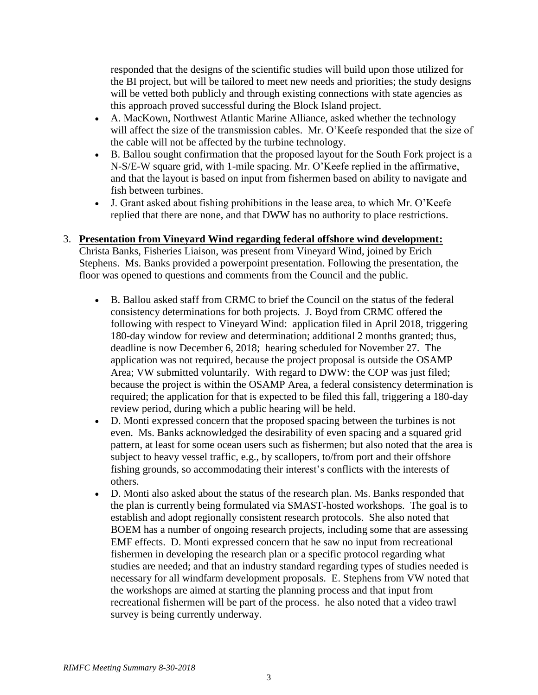responded that the designs of the scientific studies will build upon those utilized for the BI project, but will be tailored to meet new needs and priorities; the study designs will be vetted both publicly and through existing connections with state agencies as this approach proved successful during the Block Island project.

- A. MacKown, Northwest Atlantic Marine Alliance, asked whether the technology will affect the size of the transmission cables. Mr. O'Keefe responded that the size of the cable will not be affected by the turbine technology.
- B. Ballou sought confirmation that the proposed layout for the South Fork project is a N-S/E-W square grid, with 1-mile spacing. Mr. O'Keefe replied in the affirmative, and that the layout is based on input from fishermen based on ability to navigate and fish between turbines.
- J. Grant asked about fishing prohibitions in the lease area, to which Mr. O'Keefe replied that there are none, and that DWW has no authority to place restrictions.

#### 3. **Presentation from Vineyard Wind regarding federal offshore wind development:**

Christa Banks, Fisheries Liaison, was present from Vineyard Wind, joined by Erich Stephens. Ms. Banks provided a powerpoint presentation. Following the presentation, the floor was opened to questions and comments from the Council and the public.

- B. Ballou asked staff from CRMC to brief the Council on the status of the federal consistency determinations for both projects. J. Boyd from CRMC offered the following with respect to Vineyard Wind: application filed in April 2018, triggering 180-day window for review and determination; additional 2 months granted; thus, deadline is now December 6, 2018; hearing scheduled for November 27. The application was not required, because the project proposal is outside the OSAMP Area; VW submitted voluntarily. With regard to DWW: the COP was just filed; because the project is within the OSAMP Area, a federal consistency determination is required; the application for that is expected to be filed this fall, triggering a 180-day review period, during which a public hearing will be held.
- D. Monti expressed concern that the proposed spacing between the turbines is not even. Ms. Banks acknowledged the desirability of even spacing and a squared grid pattern, at least for some ocean users such as fishermen; but also noted that the area is subject to heavy vessel traffic, e.g., by scallopers, to/from port and their offshore fishing grounds, so accommodating their interest's conflicts with the interests of others.
- D. Monti also asked about the status of the research plan. Ms. Banks responded that the plan is currently being formulated via SMAST-hosted workshops. The goal is to establish and adopt regionally consistent research protocols. She also noted that BOEM has a number of ongoing research projects, including some that are assessing EMF effects. D. Monti expressed concern that he saw no input from recreational fishermen in developing the research plan or a specific protocol regarding what studies are needed; and that an industry standard regarding types of studies needed is necessary for all windfarm development proposals. E. Stephens from VW noted that the workshops are aimed at starting the planning process and that input from recreational fishermen will be part of the process. he also noted that a video trawl survey is being currently underway.